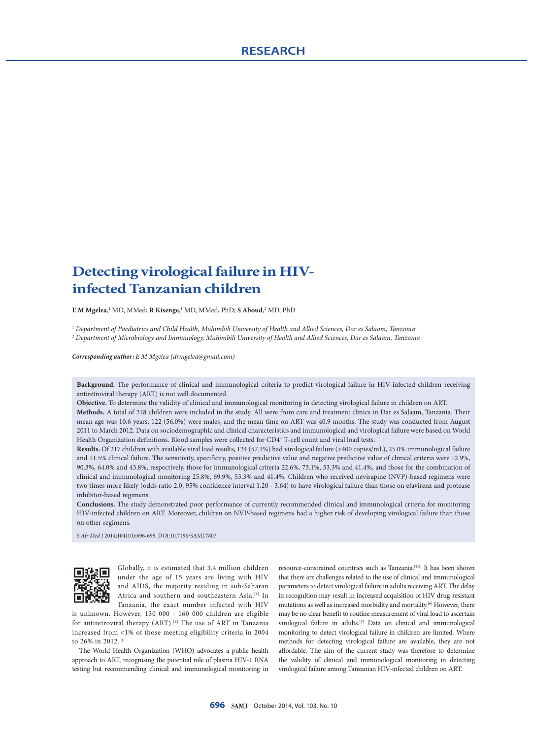# **Detecting virological failure in HIVinfected Tanzanian children**

**E M Mgelea**, 1 MD, MMed; **R Kisenge**, 1 MD, MMed, PhD; **S Aboud**, 2 MD, PhD

<sup>1</sup> *Department of Paediatrics and Child Health, Muhimbili University of Health and Allied Sciences, Dar es Salaam, Tanzania* <sup>2</sup> *Department of Microbiology and Immunology, Muhimbili University of Health and Allied Sciences, Dar es Salaam, Tanzania*

*Corresponding author: E M Mgelea (drmgelea@gmail.com)*

**Background.** The performance of clinical and immunological criteria to predict virological failure in HIV-infected children receiving antiretroviral therapy (ART) is not well documented.

**Objective.** To determine the validity of clinical and immunological monitoring in detecting virological failure in children on ART.

**Methods.** A total of 218 children were included in the study. All were from care and treatment clinics in Dar es Salaam, Tanzania. Their mean age was 10.6 years, 122 (56.0%) were males, and the mean time on ART was 40.9 months. The study was conducted from August 2011 to March 2012. Data on sociodemographic and clinical characteristics and immunological and virological failure were based on World Health Organization definitions. Blood samples were collected for CD4<sup>+</sup> T-cell count and viral load tests.

**Results.** Of 217 children with available viral load results, 124 (57.1%) had virological failure (>400 copies/mL), 25.0% immunological failure and 11.5% clinical failure. The sensitivity, specificity, positive predictive value and negative predictive value of clinical criteria were 12.9%, 90.3%, 64.0% and 43.8%, respectively, those for immunological criteria 22.6%, 73.1%, 53.3% and 41.4%, and those for the combination of clinical and immunological monitoring 25.8%, 69.9%, 53.3% and 41.4%. Children who received nevirapine (NVP)-based regimens were two times more likely (odds ratio 2.0; 95% confidence interval 1.20 - 3.64) to have virological failure than those on efavirenz and protease inhibitor-based regimens.

**Conclusions.** The study demonstrated poor performance of currently recommended clinical and immunological criteria for monitoring HIV-infected children on ART. Moreover, children on NVP-based regimens had a higher risk of developing virological failure than those on other regimens.

*S Afr Med J* 2014;104(10):696-699. DOI:10.7196/SAMJ.7807



Globally, it is estimated that 3.4 million children under the age of 15 years are living with HIV and AIDS, the majority residing in sub-Saharan Africa and southern and southeastern Asia.<sup>[1]</sup> In Tanzania, the exact number infected with HIV

is unknown. However, 130 000 - 160 000 children are eligible for antiretroviral therapy (ART).[2] The use of ART in Tanzania increased from <1% of those meeting eligibility criteria in 2004 to 26% in 2012.[3]

The World Health Organization (WHO) advocates a public health approach to ART, recognising the potential role of plasma HIV-1 RNA testing but recommending clinical and immunological monitoring in resource-constrained countries such as Tanzania.[4,5] It has been shown that there are challenges related to the use of clinical and immunological parameters to detect virological failure in adults receiving ART. The delay in recognition may result in increased acquisition of HIV drug-resistant mutations as well as increased morbidity and mortality.<sup>[6]</sup> However, there may be no clear benefit to routine measurement of viral load to ascertain virological failure in adults.[7] Data on clinical and immunological monitoring to detect virological failure in children are limited. Where methods for detecting virological failure are available, they are not affordable. The aim of the current study was therefore to determine the validity of clinical and immunological monitoring in detecting virological failure among Tanzanian HIV-infected children on ART.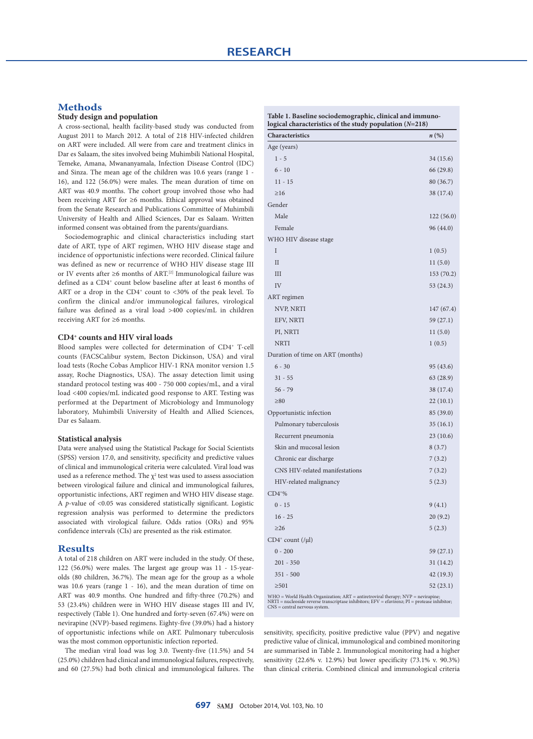## **Methods**

## **Study design and population**

A cross-sectional, health facility-based study was conducted from August 2011 to March 2012. A total of 218 HIV-infected children on ART were included. All were from care and treatment clinics in Dar es Salaam, the sites involved being Muhimbili National Hospital, Temeke, Amana, Mwananyamala, Infection Disease Control (IDC) and Sinza. The mean age of the children was 10.6 years (range 1 - 16), and 122 (56.0%) were males. The mean duration of time on ART was 40.9 months. The cohort group involved those who had been receiving ART for ≥6 months. Ethical approval was obtained from the Senate Research and Publications Committee of Muhimbili University of Health and Allied Sciences, Dar es Salaam. Written informed consent was obtained from the parents/guardians.

Sociodemographic and clinical characteristics including start date of ART, type of ART regimen, WHO HIV disease stage and incidence of opportunistic infections were recorded. Clinical failure was defined as new or recurrence of WHO HIV disease stage III or IV events after ≥6 months of ART.[2] Immunological failure was defined as a CD4<sup>+</sup> count below baseline after at least 6 months of ART or a drop in the CD4<sup>+</sup> count to <30% of the peak level. To confirm the clinical and/or immunological failures, virological failure was defined as a viral load >400 copies/mL in children receiving ART for ≥6 months.

#### **CD4+ counts and HIV viral loads**

Blood samples were collected for determination of CD4+ T-cell counts (FACSCalibur system, Becton Dickinson, USA) and viral load tests (Roche Cobas Amplicor HIV-1 RNA monitor version 1.5 assay, Roche Diagnostics, USA). The assay detection limit using standard protocol testing was 400 - 750 000 copies/mL, and a viral load <400 copies/mL indicated good response to ART. Testing was performed at the Department of Microbiology and Immunology laboratory, Muhimbili University of Health and Allied Sciences, Dar es Salaam.

#### **Statistical analysis**

Data were analysed using the Statistical Package for Social Scientists (SPSS) version 17.0, and sensitivity, specificity and predictive values of clinical and immunological criteria were calculated. Viral load was used as a reference method. The  $\chi^2$  test was used to assess association between virological failure and clinical and immunological failures, opportunistic infections, ART regimen and WHO HIV disease stage. A *p*-value of <0.05 was considered statistically significant. Logistic regression analysis was performed to determine the predictors associated with virological failure. Odds ratios (ORs) and 95% confidence intervals (CIs) are presented as the risk estimator.

### **Results**

A total of 218 children on ART were included in the study. Of these, 122 (56.0%) were males. The largest age group was 11 - 15-yearolds (80 children, 36.7%). The mean age for the group as a whole was 10.6 years (range 1 - 16), and the mean duration of time on ART was 40.9 months. One hundred and fifty-three (70.2%) and 53 (23.4%) children were in WHO HIV disease stages III and IV, respectively (Table 1). One hundred and forty-seven (67.4%) were on nevirapine (NVP)-based regimens. Eighty-five (39.0%) had a history of opportunistic infections while on ART. Pulmonary tuberculosis was the most common opportunistic infection reported.

The median viral load was log 3.0. Twenty-five (11.5%) and 54 (25.0%) children had clinical and immunological failures, respectively, and 60 (27.5%) had both clinical and immunological failures. The

| <b>Characteristics</b>           | $n\left(\%\right)$ |
|----------------------------------|--------------------|
| Age (years)                      |                    |
| $1 - 5$                          | 34 (15.6)          |
| $6 - 10$                         | 66 (29.8)          |
| $11 - 15$                        | 80 (36.7)          |
| $\geq 16$                        | 38 (17.4)          |
| Gender                           |                    |
| Male                             | 122(56.0)          |
| Female                           | 96 (44.0)          |
| WHO HIV disease stage            |                    |
| Ι                                | 1(0.5)             |
| $\mathbf{I}$                     | 11(5.0)            |
| Ш                                | 153 (70.2)         |
| IV                               | 53 (24.3)          |
| ART regimen                      |                    |
| NVP, NRTI                        | 147 (67.4)         |
| EFV, NRTI                        | 59 (27.1)          |
| PI, NRTI                         | 11(5.0)            |
| <b>NRTI</b>                      | 1(0.5)             |
| Duration of time on ART (months) |                    |
| $6 - 30$                         | 95 (43.6)          |
| $31 - 55$                        | 63 (28.9)          |
| $56 - 79$                        | 38 (17.4)          |
| $\geq 80$                        | 22(10.1)           |
| Opportunistic infection          | 85 (39.0)          |
| Pulmonary tuberculosis           | 35(16.1)           |
| Recurrent pneumonia              | 23(10.6)           |
| Skin and mucosal lesion          | 8(3.7)             |
| Chronic ear discharge            | 7(3.2)             |
| CNS HIV-related manifestations   | 7(3.2)             |
| HIV-related malignancy           | 5(2.3)             |
| $CD4*$ %                         |                    |
| $0 - 15$                         | 9(4.1)             |
| $16 - 25$                        | 20(9.2)            |
| $\geq$ 26                        | 5(2.3)             |
| $CD4^+$ count $($ / $\mu$ l $)$  |                    |
| $0 - 200$                        | 59 (27.1)          |
| $201 - 350$                      | 31 (14.2)          |
| $351 - 500$                      | 42 (19.3)          |
| $\geq 501$                       | 52(23.1)           |
|                                  |                    |

WHO = World Health Organization; ART = antiretroviral therapy; NVP = nevirapine; NRTI = nucleoside reverse transcriptase inhibitors; EFV = efavirenz; PI = protease inhibitor; CNS = central nervous system.

sensitivity, specificity, positive predictive value (PPV) and negative predictive value of clinical, immunological and combined monitoring are summarised in Table 2. Immunological monitoring had a higher sensitivity (22.6% v. 12.9%) but lower specificity (73.1% v. 90.3%) than clinical criteria. Combined clinical and immunological criteria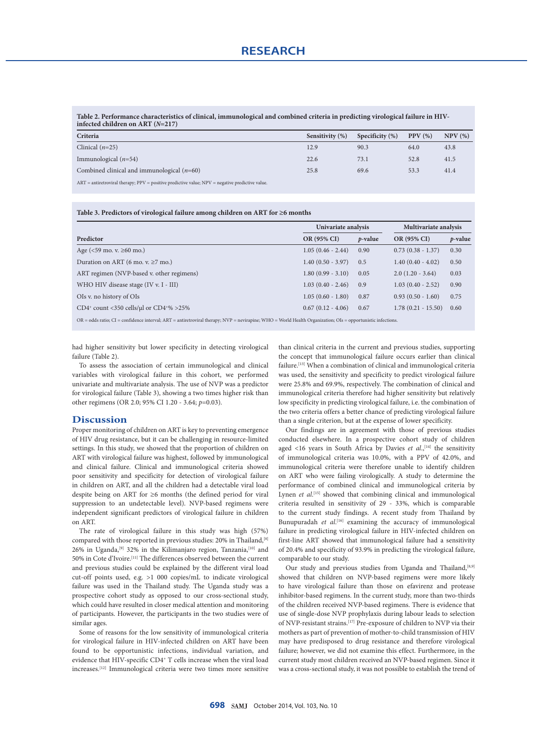**Table 2. Performance characteristics of clinical, immunological and combined criteria in predicting virological failure in HIVinfected children on ART (***N***=217)**

| Criteria                                                                                              | Sensitivity (%) | Specificity $(\%)$ | PPV(%) | NPV(%) |
|-------------------------------------------------------------------------------------------------------|-----------------|--------------------|--------|--------|
| Clinical $(n=25)$                                                                                     | 12.9            | 90.3               | 64.0   | 43.8   |
| Immunological $(n=54)$                                                                                | 22.6            | 73.1               | 52.8   | 41.5   |
| Combined clinical and immunological $(n=60)$                                                          | 25.8            | 69.6               | 53.3   | 41.4   |
| $ART = antiretroviral$ therapy; $PPV = positive$ predictive value; $NPV = negative$ predictive value. |                 |                    |        |        |

**Table 3. Predictors of virological failure among children on ART for ≥6 months**

|                                                                              | Univariate analysis |                 | Multivariate analysis |            |
|------------------------------------------------------------------------------|---------------------|-----------------|-----------------------|------------|
| Predictor                                                                    | OR (95% CI)         | <i>p</i> -value | OR (95% CI)           | $p$ -value |
| Age ( $\leq 59$ mo. v. $\geq 60$ mo.)                                        | $1.05(0.46 - 2.44)$ | 0.90            | $0.73(0.38 - 1.37)$   | 0.30       |
| Duration on ART (6 mo. v. $\geq$ 7 mo.)                                      | $1.40(0.50 - 3.97)$ | 0.5             | $1.40(0.40 - 4.02)$   | 0.50       |
| ART regimen (NVP-based v. other regimens)                                    | $1.80(0.99 - 3.10)$ | 0.05            | $2.0(1.20 - 3.64)$    | 0.03       |
| WHO HIV disease stage (IV v. I - III)                                        | $1.03(0.40 - 2.46)$ | 0.9             | $1.03(0.40 - 2.52)$   | 0.90       |
| OIs v. no history of OIs                                                     | $1.05(0.60 - 1.80)$ | 0.87            | $0.93(0.50 - 1.60)$   | 0.75       |
| CD4 <sup>+</sup> count <350 cells/µl or CD4 <sup>+<math>\%</math></sup> >25% | $0.67(0.12 - 4.06)$ | 0.67            | $1.78(0.21 - 15.50)$  | 0.60       |

OR = odds ratio; CI = confidence interval; ART = antiretroviral therapy; NVP = nevirapine; WHO = World Health Organization; OIs = opportunistic infections.

had higher sensitivity but lower specificity in detecting virological failure (Table 2).

To assess the association of certain immunological and clinical variables with virological failure in this cohort, we performed univariate and multivariate analysis. The use of NVP was a predictor for virological failure (Table 3), showing a two times higher risk than other regimens (OR 2.0; 95% CI 1.20 - 3.64; *p*=0.03).

#### **Discussion**

Proper monitoring of children on ART is key to preventing emergence of HIV drug resistance, but it can be challenging in resource-limited settings. In this study, we showed that the proportion of children on ART with virological failure was highest, followed by immunological and clinical failure. Clinical and immunological criteria showed poor sensitivity and specificity for detection of virological failure in children on ART, and all the children had a detectable viral load despite being on ART for ≥6 months (the defined period for viral suppression to an undetectable level). NVP-based regimens were independent significant predictors of virological failure in children on ART.

The rate of virological failure in this study was high (57%) compared with those reported in previous studies: 20% in Thailand, [8] 26% in Uganda,<sup>[9]</sup> 32% in the Kilimanjaro region, Tanzania,<sup>[10]</sup> and 50% in Cote d'Ivoire.[11] The differences observed between the current and previous studies could be explained by the different viral load cut-off points used, e.g. >1 000 copies/mL to indicate virological failure was used in the Thailand study. The Uganda study was a prospective cohort study as opposed to our cross-sectional study, which could have resulted in closer medical attention and monitoring of participants. However, the participants in the two studies were of similar ages.

Some of reasons for the low sensitivity of immunological criteria for virological failure in HIV-infected children on ART have been found to be opportunistic infections, individual variation, and evidence that HIV-specific CD4+ T cells increase when the viral load increases.[12] Immunological criteria were two times more sensitive than clinical criteria in the current and previous studies, supporting the concept that immunological failure occurs earlier than clinical failure.[13] When a combination of clinical and immunological criteria was used, the sensitivity and specificity to predict virological failure were 25.8% and 69.9%, respectively. The combination of clinical and immunological criteria therefore had higher sensitivity but relatively low specificity in predicting virological failure, i.e. the combination of the two criteria offers a better chance of predicting virological failure than a single criterion, but at the expense of lower specificity.

Our findings are in agreement with those of previous studies conducted elsewhere. In a prospective cohort study of children aged <16 years in South Africa by Davies *et al.*,<sup>[14]</sup> the sensitivity of immunological criteria was 10.0%, with a PPV of 42.0%, and immunological criteria were therefore unable to identify children on ART who were failing virologically. A study to determine the performance of combined clinical and immunological criteria by Lynen *et al.*<sup>[15]</sup> showed that combining clinical and immunological criteria resulted in sensitivity of 29 - 33%, which is comparable to the current study findings. A recent study from Thailand by Bunupuradah et al.<sup>[16]</sup> examining the accuracy of immunological failure in predicting virological failure in HIV-infected children on first-line ART showed that immunological failure had a sensitivity of 20.4% and specificity of 93.9% in predicting the virological failure, comparable to our study.

Our study and previous studies from Uganda and Thailand, [8,9] showed that children on NVP-based regimens were more likely to have virological failure than those on efavirenz and protease inhibitor-based regimens. In the current study, more than two-thirds of the children received NVP-based regimens. There is evidence that use of single-dose NVP prophylaxis during labour leads to selection of NVP-resistant strains.[17] Pre-exposure of children to NVP via their mothers as part of prevention of mother-to-child transmission of HIV may have predisposed to drug resistance and therefore virological failure; however, we did not examine this effect. Furthermore, in the current study most children received an NVP-based regimen. Since it was a cross-sectional study, it was not possible to establish the trend of